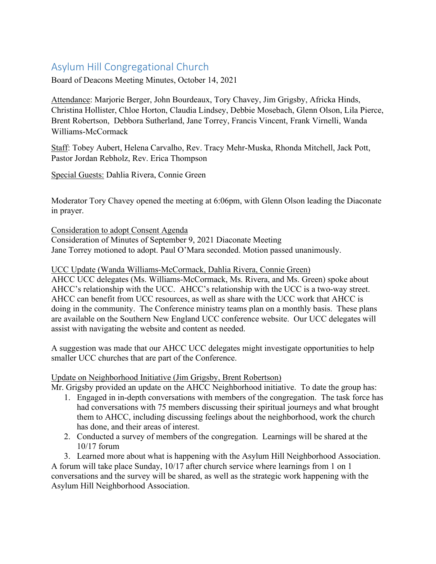#### Asylum Hill Congregational Church

Board of Deacons Meeting Minutes, October 14, 2021

Attendance: Marjorie Berger, John Bourdeaux, Tory Chavey, Jim Grigsby, Africka Hinds, Christina Hollister, Chloe Horton, Claudia Lindsey, Debbie Mosebach, Glenn Olson, Lila Pierce, Brent Robertson, Debbora Sutherland, Jane Torrey, Francis Vincent, Frank Virnelli, Wanda Williams-McCormack

Staff: Tobey Aubert, Helena Carvalho, Rev. Tracy Mehr-Muska, Rhonda Mitchell, Jack Pott, Pastor Jordan Rebholz, Rev. Erica Thompson

Special Guests: Dahlia Rivera, Connie Green

Moderator Tory Chavey opened the meeting at 6:06pm, with Glenn Olson leading the Diaconate in prayer.

Consideration to adopt Consent Agenda Consideration of Minutes of September 9, 2021 Diaconate Meeting Jane Torrey motioned to adopt. Paul O'Mara seconded. Motion passed unanimously.

UCC Update (Wanda Williams-McCormack, Dahlia Rivera, Connie Green)

AHCC UCC delegates (Ms. Williams-McCormack, Ms. Rivera, and Ms. Green) spoke about AHCC's relationship with the UCC. AHCC's relationship with the UCC is a two-way street. AHCC can benefit from UCC resources, as well as share with the UCC work that AHCC is doing in the community. The Conference ministry teams plan on a monthly basis. These plans are available on the Southern New England UCC conference website. Our UCC delegates will assist with navigating the website and content as needed.

A suggestion was made that our AHCC UCC delegates might investigate opportunities to help smaller UCC churches that are part of the Conference.

#### Update on Neighborhood Initiative (Jim Grigsby, Brent Robertson)

Mr. Grigsby provided an update on the AHCC Neighborhood initiative. To date the group has:

- 1. Engaged in in-depth conversations with members of the congregation. The task force has had conversations with 75 members discussing their spiritual journeys and what brought them to AHCC, including discussing feelings about the neighborhood, work the church has done, and their areas of interest.
- 2. Conducted a survey of members of the congregation. Learnings will be shared at the 10/17 forum

3. Learned more about what is happening with the Asylum Hill Neighborhood Association. A forum will take place Sunday, 10/17 after church service where learnings from 1 on 1 conversations and the survey will be shared, as well as the strategic work happening with the Asylum Hill Neighborhood Association.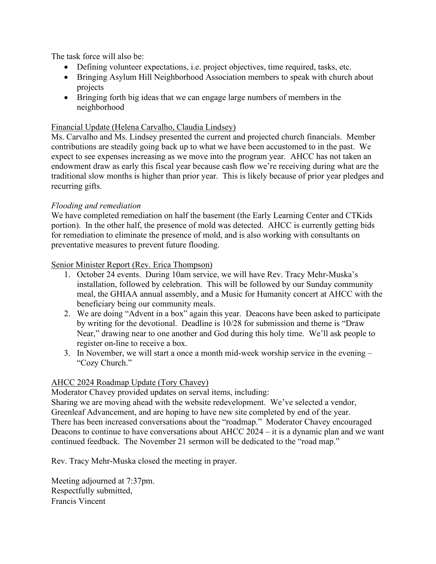The task force will also be:

- Defining volunteer expectations, i.e. project objectives, time required, tasks, etc.
- Bringing Asylum Hill Neighborhood Association members to speak with church about projects
- Bringing forth big ideas that we can engage large numbers of members in the neighborhood

#### Financial Update (Helena Carvalho, Claudia Lindsey)

Ms. Carvalho and Ms. Lindsey presented the current and projected church financials. Member contributions are steadily going back up to what we have been accustomed to in the past. We expect to see expenses increasing as we move into the program year. AHCC has not taken an endowment draw as early this fiscal year because cash flow we're receiving during what are the traditional slow months is higher than prior year. This is likely because of prior year pledges and recurring gifts.

#### *Flooding and remediation*

We have completed remediation on half the basement (the Early Learning Center and CTKids portion). In the other half, the presence of mold was detected. AHCC is currently getting bids for remediation to eliminate the presence of mold, and is also working with consultants on preventative measures to prevent future flooding.

#### Senior Minister Report (Rev. Erica Thompson)

- 1. October 24 events. During 10am service, we will have Rev. Tracy Mehr-Muska's installation, followed by celebration. This will be followed by our Sunday community meal, the GHIAA annual assembly, and a Music for Humanity concert at AHCC with the beneficiary being our community meals.
- 2. We are doing "Advent in a box" again this year. Deacons have been asked to participate by writing for the devotional. Deadline is 10/28 for submission and theme is "Draw Near," drawing near to one another and God during this holy time. We'll ask people to register on-line to receive a box.
- 3. In November, we will start a once a month mid-week worship service in the evening "Cozy Church."

#### AHCC 2024 Roadmap Update (Tory Chavey)

Moderator Chavey provided updates on serval items, including: Sharing we are moving ahead with the website redevelopment. We've selected a vendor, Greenleaf Advancement, and are hoping to have new site completed by end of the year. There has been increased conversations about the "roadmap." Moderator Chavey encouraged Deacons to continue to have conversations about AHCC 2024 – it is a dynamic plan and we want continued feedback. The November 21 sermon will be dedicated to the "road map."

Rev. Tracy Mehr-Muska closed the meeting in prayer.

Meeting adjourned at 7:37pm. Respectfully submitted, Francis Vincent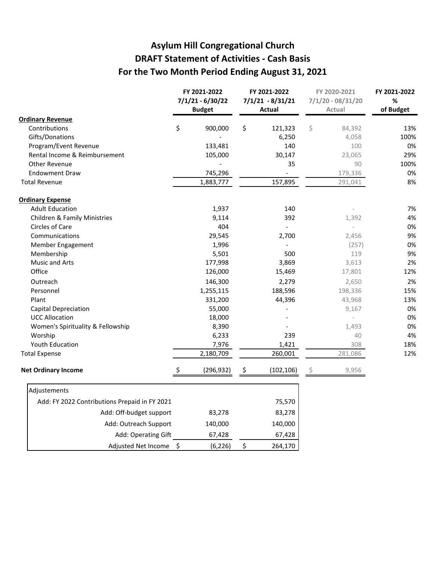#### **Asylum Hill Congregational Church DRAFT Statement of Activities - Cash Basis For the Two Month Period Ending August 31, 2021**

|                                               |    | FY 2021-2022<br>$7/1/21 - 6/30/22$<br><b>Budget</b> |        | FY 2021-2022<br>$7/1/21 - 8/31/21$<br>Actual |    | FY 2020-2021<br>$7/1/20 - 08/31/20$<br>Actual | FY 2021-2022<br>$\%$<br>of Budget |
|-----------------------------------------------|----|-----------------------------------------------------|--------|----------------------------------------------|----|-----------------------------------------------|-----------------------------------|
| <b>Ordinary Revenue</b>                       |    |                                                     |        |                                              |    |                                               |                                   |
| Contributions                                 | \$ | 900,000                                             | \$     | 121,323                                      | \$ | 84,392                                        | 13%                               |
| Gifts/Donations                               |    |                                                     |        | 6,250                                        |    | 4,058                                         | 100%                              |
| Program/Event Revenue                         |    | 133,481                                             |        | 140                                          |    | 100                                           | 0%                                |
| Rental Income & Reimbursement                 |    | 105,000                                             |        | 30,147                                       |    | 23,065                                        | 29%                               |
| Other Revenue                                 |    |                                                     |        | 35                                           |    | 90                                            | 100%                              |
| <b>Endowment Draw</b>                         |    | 745,296                                             |        |                                              |    | 179,336                                       | 0%                                |
| <b>Total Revenue</b>                          |    | 1,883,777                                           |        | 157,895                                      |    | 291,041                                       | 8%                                |
| <b>Ordinary Expense</b>                       |    |                                                     |        |                                              |    |                                               |                                   |
| <b>Adult Education</b>                        |    | 1,937                                               |        | 140                                          |    |                                               | 7%                                |
| <b>Children &amp; Family Ministries</b>       |    | 9,114                                               |        | 392                                          |    | 1,392                                         | 4%                                |
| Circles of Care                               |    | 404                                                 |        |                                              |    | $\overline{\phantom{a}}$                      | 0%                                |
| Communications                                |    | 29,545                                              |        | 2,700                                        |    | 2,456                                         | 9%                                |
| Member Engagement                             |    | 1,996                                               |        | $\overline{a}$                               |    | (257)                                         | 0%                                |
| Membership                                    |    | 5,501                                               |        | 500                                          |    | 119                                           | 9%                                |
| <b>Music and Arts</b>                         |    | 177,998                                             |        | 3,869                                        |    | 3,613                                         | 2%                                |
| Office                                        |    | 126,000                                             |        | 15,469                                       |    | 17,801                                        | 12%                               |
| Outreach                                      |    | 146,300                                             |        | 2,279                                        |    | 2,650                                         | 2%                                |
| Personnel                                     |    | 1,255,115                                           |        | 188,596                                      |    | 198,336                                       | 15%                               |
| Plant                                         |    | 331,200                                             |        | 44,396                                       |    | 43,968                                        | 13%                               |
| Capital Depreciation                          |    | 55,000                                              |        |                                              |    | 9,167                                         | 0%                                |
| <b>UCC Allocation</b>                         |    | 18,000                                              |        |                                              |    |                                               | 0%                                |
| Women's Spirituality & Fellowship             |    | 8,390                                               |        |                                              |    | 1,493                                         | 0%                                |
| Worship                                       |    | 6,233                                               |        | 239                                          |    | 40                                            | 4%                                |
| Youth Education                               |    | 7,976                                               |        | 1,421                                        |    | 308                                           | 18%                               |
| <b>Total Expense</b>                          |    | 2,180,709                                           |        | 260,001                                      |    | 281,086                                       | 12%                               |
| <b>Net Ordinary Income</b>                    | S  | (296, 932)                                          | .Ş     | (102, 106)                                   | S  | 9,956                                         |                                   |
| Adjustements                                  |    |                                                     |        |                                              |    |                                               |                                   |
| Add: FY 2022 Contributions Prepaid in FY 2021 |    |                                                     |        | 75,570                                       |    |                                               |                                   |
| Add: Off-budget support<br>83,278             |    |                                                     | 83,278 |                                              |    |                                               |                                   |
| Add: Outreach Support                         |    | 140,000                                             |        | 140,000                                      |    |                                               |                                   |
| Add: Operating Gift                           |    | 67,428                                              |        | 67,428                                       |    |                                               |                                   |
| Adjusted Net Income \$                        |    | (6, 226)                                            | \$     | 264,170                                      |    |                                               |                                   |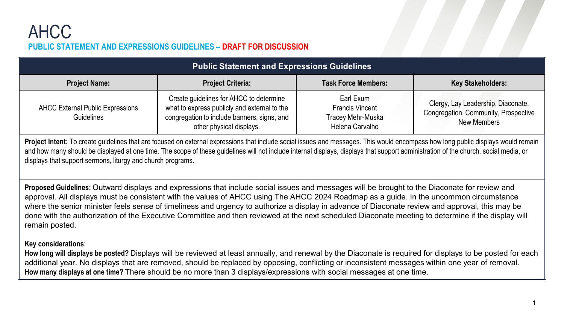#### **PUBLIC STATEMENT AND EXPRESSIONS GUIDELINES – DRAFT FOR DISCUSSION** AHCC

| <b>Public Statement and Expressions Guidelines</b>           |                                                                                                                                                                    |                                                                             |                                                                                           |  |  |  |  |  |
|--------------------------------------------------------------|--------------------------------------------------------------------------------------------------------------------------------------------------------------------|-----------------------------------------------------------------------------|-------------------------------------------------------------------------------------------|--|--|--|--|--|
| <b>Project Name:</b>                                         | <b>Project Criteria:</b>                                                                                                                                           | <b>Task Force Members:</b>                                                  | <b>Key Stakeholders:</b>                                                                  |  |  |  |  |  |
| <b>AHCC External Public Expressions</b><br><b>Guidelines</b> | Create guidelines for AHCC to determine<br>what to express publicly and external to the<br>congregation to include banners, signs, and<br>other physical displays. | Earl Exum<br><b>Francis Vincent</b><br>Tracey Mehr-Muska<br>Helena Carvalho | Clergy, Lay Leadership, Diaconate,<br>Congregation, Community, Prospective<br>New Members |  |  |  |  |  |

Project Intent: To create quidelines that are focused on external expressions that include social issues and messages. This would encompass how long public displays would remain and how many should be displayed at one time. The scope of these guidelines will not include internal displays, displays that support administration of the church, social media, or displays that support sermons, liturgy and church programs.

**Proposed Guidelines:** Outward displays and expressions that include social issues and messages will be brought to the Diaconate for review and approval. All displays must be consistent with the values of AHCC using The AHCC 2024 Roadmap as a guide. In the uncommon circumstance where the senior minister feels sense of timeliness and urgency to authorize a display in advance of Diaconate review and approval, this may be done with the authorization of the Executive Committee and then reviewed at the next scheduled Diaconate meeting to determine if the display will remain posted.

#### **Key considerations**:

**How long will displays be posted?** Displays will be reviewed at least annually, and renewal by the Diaconate is required for displays to be posted for each additional year. No displays that are removed, should be replaced by opposing, conflicting or inconsistent messages within one year of removal. **How many displays at one time?** There should be no more than 3 displays/expressions with social messages at one time.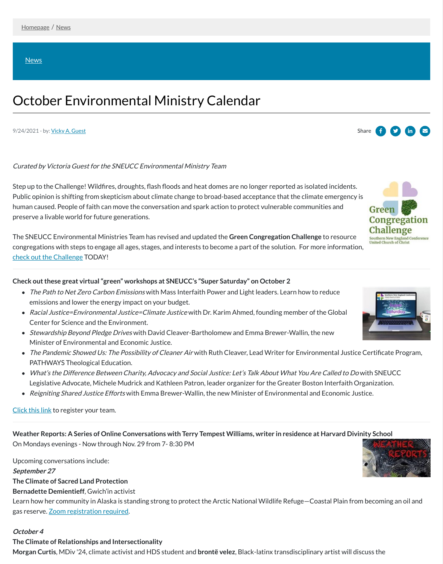[News](https://www.sneucc.org/news)

# October Environmental Ministry Calendar

#### 9/24/2021 - by: Vicky A. [Guest](https://www.sneucc.org/authordetail/747328) Share I

# Curated by Victoria Guest for the SNEUCC Environmental Ministry Team

Step up to the Challenge! Wildfires, droughts, flash floods and heat domes are no longer reported as isolated incidents. Public opinion is shifting from skepticism about climate change to broad-based acceptance that the climate emergency is human caused. People of faith can move the conversation and spark action to protect vulnerable communities and preserve a livable world for future generations.

The SNEUCC Environmental Ministries Team has revised and updated the **Green Congregation Challenge** to resource congregations with steps to engage all ages, stages, and interests to become a part of the solution. For more information, [check out the Challenge](https://www.sneucc.org/green-congregation-challenge) TODAY!

- The Path to Net Zero Carbon Emissions with Mass Interfaith Power and Light leaders. Learn how to reduce emissions and lower the energy impact on your budget.
- Racial Justice=Environmental Justice=Climate Justice with Dr. Karim Ahmed, founding member of the Global Center for Science and the Environment.
- Stewardship Beyond Pledge Drives with David Cleaver-Bartholomew and Emma Brewer-Wallin, the new Minister of Environmental and Economic Justice.
- The Pandemic Showed Us: The Possibility of Cleaner Air with Ruth Cleaver, Lead Writer for Environmental Justice Certificate Program, PATHWAYS Theological Education.
- What's the Difference Between Charity, Advocacy and Social Justice: Let's Talk About What You Are Called to Do with SNEUCC







# **Check out these great virtual "green" workshops at SNEUCC's "Super Saturday" on October 2**

Legislative Advocate, Michele Mudrick and Kathleen Patron, leader organizer for the Greater Boston Interfaith Organization.

• Reigniting Shared Justice Efforts with Emma Brewer-Wallin, the new Minister of Environmental and Economic Justice.

[Click this link](https://sneucc-reg.brtapp.com/SSOct2021) to register your team.

**Weather Reports: A Series of Online Conversations with Terry Tempest Williams, writer in residence at Harvard Divinity School** 

On Mondays evenings - Now through Nov. 29 from 7- 8:30 PM

Upcoming conversations include:

**September 27**

- **The Climate of Sacred Land Protection**
- **Bernadette Demientieff**, Gwich'in activist

Learn how her community in Alaska is standing strong to protect the Arctic National Wildlife Refuge—Coastal Plain from becoming an oil and gas reserve. [Zoom registration required](https://harvard.zoom.us/webinar/register/WN_6_EkelnJR8GiQ7wHqiaZ-w).

#### **October 4**

**The Climate of Relationships and Intersectionality**

**Morgan Curtis**, MDiv '24, climate activist and HDS student and **brontë velez**, Black-latinx transdisciplinary artist will discuss the

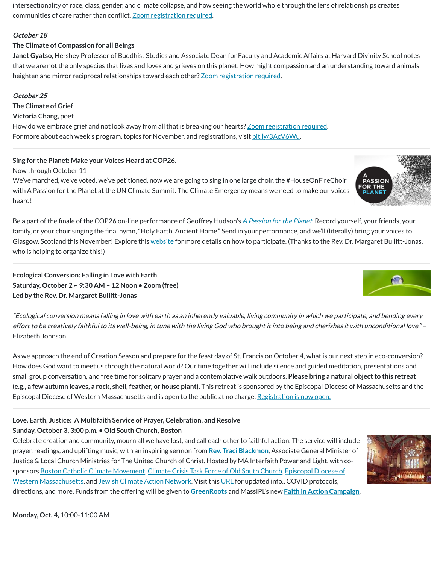**Janet Gyatso**, Hershey Professor of Buddhist Studies and Associate Dean for Faculty and Academic Affairs at Harvard Divinity School notes that we are not the only species that lives and loves and grieves on this planet. How might compassion and an understanding toward animals heighten and mirror reciprocal relationships toward each other? [Zoom registration required.](https://harvard.zoom.us/webinar/register/WN_-VVFRx0QTSuynnOnK3Cuyw)

intersectionality of race, class, gender, and climate collapse, and how seeing the world whole through the lens of relationships creates communities of care rather than conflict. [Zoom registration required](https://harvard.zoom.us/webinar/register/WN_3PxblQHoTau6lThkdayoHA).

### **October 18**

# **The Climate of Compassion for all Beings**

### **October 25**

**The Climate of Grief**

### **Victoria Chang,** poet

How do we embrace grief and not look away from all that is breaking our hearts? [Zoom registration required.](https://harvard.zoom.us/webinar/register/WN_BdGi-JXVSDe8RpzNonMLqQ) For more about each week's program, topics for November, and registrations, visit [bit.ly/3AcV6Wu](https://bit.ly/3AcV6Wu).

Be a part of the finale of the COP26 on-line performance of Geoffrey Hudson's [A Passion for the Planet](https://www.hybridvigormusic.org/our-projects/a-passion-for-the-planet/https:/www.hybridvigormusic.org/our-projects/a-passion-for-the-planet/). Record yourself, your friends, your family, or your choir singing the final hymn, "Holy Earth, Ancient Home." Send in your performance, and we'll (literally) bring your voices to Glasgow, Scotland this November! Explore this [website](https://www.hybridvigormusic.org/sing/) for more details on how to participate. (Thanks to the Rev. Dr. Margaret Bullitt-Jonas, who is helping to organize this!)

### **Sing for the Planet: Make your Voices Heard at COP26.**

Now through October 11

We've marched, we've voted, we've petitioned, now we are going to sing in one large choir, the #HouseOnFireChoir with A Passion for the Planet at the UN Climate Summit. The Climate Emergency means we need to make our voices heard!

**Ecological Conversion: Falling in Love with Earth Saturday, October 2 ~ 9:30 AM – 12 Noon • Zoom (free) Led by the Rev. Dr. Margaret Bullitt-Jonas**

"Ecological conversion means falling in love with earth as an inherently valuable, living community in which we participate, and bending every effort to be creatively faithful to its well-being, in tune with the living God who brought it into being and cherishes it with unconditional love." – Elizabeth Johnson

As we approach the end of Creation Season and prepare for the feast day of St. Francis on October 4, what is our next step in eco-conversion? How does God want to meet us through the natural world? Our time together will include silence and guided meditation, presentations and small group conversation, and free time for solitary prayer and a contemplative walk outdoors. **Please bring a natural object to this retreat (e.g., a few autumn leaves, a rock, shell, feather, or house plant).** This retreat is sponsored by the Episcopal Diocese of Massachusetts and the Episcopal Diocese of Western Massachusetts and is open to the public at no charge. [Registration is now open.](https://r20.rs6.net/tn.jsp?f=001o5K2XE-HxBbMs0cmg1HyPvYs3Qc7pgajOXLO65bNG5qNU9DEMHm1caEYPNoHx51ayh9WI4CTglBb_Rw4K0J0dLUtAi4VhVuTbD-QwJXIUvsF6yodqktgruIBgFM2Eed4GO0ZwZ-nZ7c3w4E_Vk-XZOXqnFJstIrlH-4GJxjBjD4MJ4lfG6wdh1bGf2KREqMW4ziYF7GJydJxbvM-zYQ4gZT1vtWPv0RKfo4AirgG0ExyyLhsOOWrYw==&c=CKnQzj6aHYSp8QtTiPu86BeAIC5uuExgeAa7_E0_s8dJPTkJogiE9w==&ch=h6JWoJ4L2nqUUjRTB7yfdZsTZGdLmgZD9FZRGOmVCWfAf_ceVBTfDg==)





# **Love, Earth, Justice: A Multifaith Service of Prayer, Celebration, and Resolve**

# **Sunday, October 3, 3:00 p.m. • Old South Church, Boston**

Celebrate creation and community, mourn all we have lost, and call each other to faithful action. The service will include prayer, readings, and uplifting music, with an inspiring sermon from **[Rev. Traci Blackmon](https://r20.rs6.net/tn.jsp?f=0019u2krd5Y1iaRnRuYlI9WMY-QDKFyrpfEVxDGUfFuN2Lq5HhBXTtVe0ZP3D_py7fSAKRTFXAqghUDdfaCOgRW7zbM8SR18mHJcxxawadJ38jl9Bv_L9mSTfA0vncnQFkq8XET1Sk6ys8Ac0I4TSzh6E8E2ApvIOWG_lySwnTAuCS46bI1z7Cvo8ios3KDtP37S0ZHUYutxaAeyLPi3-Mmtfho4hcpw8XA03eB6dUFa_M=&c=M_txXeildnA_Kml1fvCRPA7Xptm9Vis7jUnTifV5wy0qLlS1Ch10-Q==&ch=QGrVqheNohLa-QJR7MKv_HGZqYuRV5AKCqoHNBtubnT4BOG7BEILaA==)**, Associate General Minister of Justice & Local Church Ministries for The United Church of Christ. Hosted by MA Interfaith Power and Light, with co[sponsors B](https://www.diocesewma.org/)[oston Catholic Climate Movemen](https://catholicclimatemovement.global/chapters/boston/)[t, C](https://www.diocesewma.org/)[limate Crisis Task Force of Old South Churc](https://www.oldsouth.org/climate-crisis)[h, Episcopal Diocese of](https://www.diocesewma.org/) Western Massachusetts, and [Jewish Climate Action Network](https://www.jewishclimate.org/). Visit this [URL](https://www.massipl.org/love-earth-justice) for updated info., COVID protocols, directions, and more. Funds from the offering will be given to **[GreenRoots](http://www.greenrootschelsea.org/)** and MassIPL's new **[Faith in Action Campaign](https://www.massipl.org/mobilize)**.



**Monday, Oct. 4,** 10:00-11:00 AM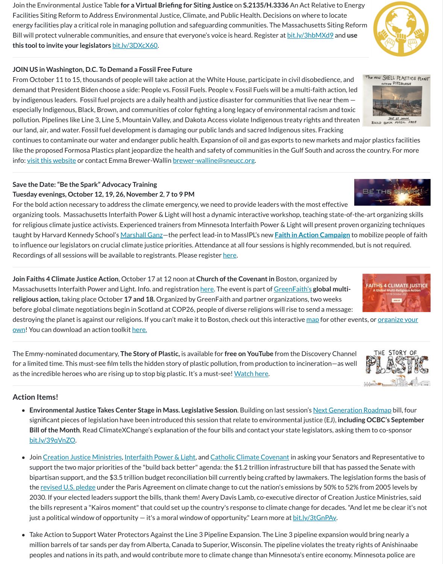Join the Environmental Justice Table **for a Virtual Briefing for Siting Justice** on **S.2135/H.3336** An Act Relative to Energy Facilities Siting Reform to Address Environmental Justice, Climate, and Public Health. Decisions on where to locate energy facilities play a critical role in managing pollution and safeguarding communities. The Massachusetts Siting Reform Bill will protect vulnerable communities, and ensure that everyone's voice is heard. Register at [bit.ly/3hbMXd9](https://bit.ly/3hbMXd9) and **use this tool to invite your legislators** [bit.ly/3DXcX60](https://bit.ly/3DXcX60).

## **JOIN US in Washington, D.C. To Demand a Fossil Free Future**

The NEW SHELL PLASTICS PLAN From October 11 to 15, thousands of people will take action at the White House, participate in civil disobedience, and demand that President Biden choose a side: People vs. Fossil Fuels. People v. Fossil Fuels will be a multi-faith action, led by indigenous leaders. Fossil fuel projects are a daily health and justice disaster for communities that live near them especially Indigenous, Black, Brown, and communities of color fighting a long legacy of environmental racism and toxic pollution. Pipelines like Line 3, Line 5, Mountain Valley, and Dakota Access violate Indigenous treaty rights and threaten our land, air, and water. Fossil fuel development is damaging our public lands and sacred Indigenous sites. Fracking

continues to contaminate our water and endanger public health. Expansion of oil and gas exports to new markets and major plastics facilities like the proposed Formosa Plastics plant jeopardize the health and safety of communities in the Gulf South and across the country. For more info: [visit this website](https://peoplevsfossilfuels.org/) or contact Emma Brewer-Wallin [brewer-walline@sneucc.org](mailto:brewer-walline@sneucc.org).

The Emmy-nominated documentary, **The Story of Plastic,** is available for **free on YouTube** from the Discovery Channel for a limited time. This must-see film tells the hidden story of plastic pollution, from production to incineration—as well as the incredible heroes who are rising up to stop big plastic. It's a must-see! [Watch here.](http://ow.ly/bySn50G9bVF)



*BUILD PACK FOSSIL* 







outripe PITTSBURGH





# **Save the Date: "Be the Spark" Advocacy Training Tuesday evenings, October 12, 19, 26, November 2**, **7 to 9 PM**

For the bold action necessary to address the climate emergency, we need to provide leaders with the most effective organizing tools. Massachusetts Interfaith Power & Light will host a dynamic interactive workshop, teaching state-of-the-art organizing skills for religious climate justice activists. Experienced trainers from Minnesota Interfaith Power & Light will present proven organizing techniques taught by Harvard Kennedy School's [Marshall Ganz—](https://r20.rs6.net/tn.jsp?f=001Fyv1sm_bCYXI-_46YAY9wc8--g7Eyk4006j-wn-I1QZtiLp_7keISBD9_184DZVzyETkKoGqyQaVJREICvKlxq89ovzryeeSAdl5EeJcALJ9tGHiQ-_j9t1HfBMdkKMXQD59EC4FjcXYHiQOft8qgPJyHnUtnWxqhOyRZAzTDO3ESRlpE0Gd4A==&c=2w8JIGMA8vOvRrjeuRGF6CCISJSpMo1ZutiEMJR5u0EdGwJjUhPNQg==&ch=snC-l4kvQj_EomnwT5lPOVEurB29sJ1zb-xQ4NPq5f8Ybwt_7K2OLg==)the perfect lead-in to MassIPL's new **[Faith in Action Campaign](https://r20.rs6.net/tn.jsp?f=001Fyv1sm_bCYXI-_46YAY9wc8--g7Eyk4006j-wn-I1QZtiLp_7keISPbpVC3xmQF6KdkncDWEfqUC2BeaeuG8Aa2sNwCLKLQMieutzWN4UobAaMe4MvU873drk64c5qQB95r5hnfexUDFDmPGDOXRlNxgJTYKU8dW&c=2w8JIGMA8vOvRrjeuRGF6CCISJSpMo1ZutiEMJR5u0EdGwJjUhPNQg==&ch=snC-l4kvQj_EomnwT5lPOVEurB29sJ1zb-xQ4NPq5f8Ybwt_7K2OLg==)** to mobilize people of faith to influence our legislators on crucial climate justice priorities. Attendance at all four sessions is highly recommended, but is not required. Recordings of all sessions will be available to registrants. Please register [here.](https://r20.rs6.net/tn.jsp?f=001o5K2XE-HxBbMs0cmg1HyPvYs3Qc7pgajOXLO65bNG5qNU9DEMHm1caEYPNoHx51a2dX6aFt2QQUS2k-xn5IRna_JjuPWyHoMYhYAcLs0ZkWrAWEsP6qBvPC1b7J8cUYJWDUACt8i5Ll67ig3NZaGjZuqEHfhHPCc&c=BAcUPdnKyNsTMSrEcxnt96rDHfof0I9NbmtZqk6fdER8jSVuI93gbw==&ch=x-whBLaow9tvEjr3SxRHI4ZBzqDox3ST55UPlry82DsLBNYHYHaISQ==)

**Join Faiths 4 Climate Justice Action**, October 17 at 12 noon at **Church of the Covenant in** Boston, organized by Massachusetts Interfaith Power and Light. Info. and registration [here.](https://r20.rs6.net/tn.jsp?f=001JIRGq8l3ZkoCD6gSWFokzGtHOJqfoyncLN0vgMQwUqHW9k32fvPqntV6cHNO_45WJxbETySssy0V2sroFMIAGBXpjkv7X4CJqTPpa7I6wrd8PDk55vC53O9QfL5iTgKJ0NTM8OJWu-F99iuUe5avxvFH3y0ynQIqmitpQB0BUdqDXMdpkID-W2VNw3OnGUNSY8cMU9VY1QKzwKCm3-iyJA==&c=wLWAIcY_lL5gFDI5P0qnWjinuU9Y3abQPKpJx1KLMFoK5FKLgrCRDw==&ch=pY2UjkADVAg2MLicjCTq0i-t6kLHpkixvdXGyHrmblg98ukF6H2xxg==) The event is part of [GreenFaith's](https://r20.rs6.net/tn.jsp?f=001o5K2XE-HxBbMs0cmg1HyPvYs3Qc7pgajOXLO65bNG5qNU9DEMHm1caEYPNoHx51aJGw6-eJfl4vwZV-uQWo3Rx-tjgNCsPbhjxX1sUFOBZMB1fJ-NX8pt7KIbGbuq-d2wXjkX62PX0MPeccwKrpxeezxFwLhsMce2c0_LEEroUUNPAT7LS0Zfw==&c=BAcUPdnKyNsTMSrEcxnt96rDHfof0I9NbmtZqk6fdER8jSVuI93gbw==&ch=x-whBLaow9tvEjr3SxRHI4ZBzqDox3ST55UPlry82DsLBNYHYHaISQ==) global multi**religious action,** taking place October **17 and 18.** Organized by GreenFaith and partner organizations, two weeks before global climate negotiations begin in Scotland at COP26, people of diverse religions will rise to send a message:

[destroying the planet is against our religions. If you can't make it to Boston, check out this interactive m](https://r20.rs6.net/tn.jsp?f=001JIRGq8l3ZkoCD6gSWFokzGtHOJqfoyncLN0vgMQwUqHW9k32fvPqntV6cHNO_45WNYagD3orAvsgUirIeSyycbyXWXhR3sdTJA8IjPe1a4vCa7xlrV8DGBJczyOJFTLS0ZiDIVlvUxOuvKPc1tENmPChqEXetB-VTtYzURF7SvXz-XNIucax25d5tlKBuv_lKsP8SGDYfHJSyfUhar_YTXAYB1T7cIZXprJfnA3DINA=&c=wLWAIcY_lL5gFDI5P0qnWjinuU9Y3abQPKpJx1KLMFoK5FKLgrCRDw==&ch=pY2UjkADVAg2MLicjCTq0i-t6kLHpkixvdXGyHrmblg98ukF6H2xxg==)[ap](https://r20.rs6.net/tn.jsp?f=001JIRGq8l3ZkoCD6gSWFokzGtHOJqfoyncLN0vgMQwUqHW9k32fvPqntV6cHNO_45WyjWdT3aQ7y4zLBTWt8YGijDrQkfgoUJs-DhPF-lkUTJPuozzgiUGs8BEMD14G8fOsTMFPjLUEnaX7q2GQkaDXlhYQD8eUF_aIw4iZjVHEBg=&c=wLWAIcY_lL5gFDI5P0qnWjinuU9Y3abQPKpJx1KLMFoK5FKLgrCRDw==&ch=pY2UjkADVAg2MLicjCTq0i-t6kLHpkixvdXGyHrmblg98ukF6H2xxg==) for other events, or <u>organize your</u> own! You can download an action toolkit [here.](https://r20.rs6.net/tn.jsp?f=001JIRGq8l3ZkoCD6gSWFokzGtHOJqfoyncLN0vgMQwUqHW9k32fvPqntV6cHNO_45WhNGvGizlGgxAb-eBeZdwz8uWaKkmVg5Qyp-B2gEnXpD3tm1XPgEIESXTynrzMjqSHYrBN6w1ruEDN6nHvDhpMv9JRQZH6S7HOJ7KBQdLmchHTjCRB_u4PCNPZ3CZhEvbHAPm9BWdkLa3Z0u28qqXihwPKG5JCHN1KenI95qfXWA=&c=wLWAIcY_lL5gFDI5P0qnWjinuU9Y3abQPKpJx1KLMFoK5FKLgrCRDw==&ch=pY2UjkADVAg2MLicjCTq0i-t6kLHpkixvdXGyHrmblg98ukF6H2xxg==)

### **Action Items!**

- **Environmental Justice Takes Center Stage in Mass. Legislative Session**. Building on last session's [Next Generation Roadmap](https://cabaus.us7.list-manage.com/track/click?u=a4aa224d641cd93fb5a94896b&id=02855d10da&e=a75d50c870) bill, four significant pieces of legislation have been introduced this session that relate to environmental justice (EJ), **including OCBC's September Bill of the Month**. Read ClimateXChange's explanation of the four bills and contact your state legislators, asking them to co-sponsor [bit.ly/39qVnZO.](https://bit.ly/39qVnZO)
- Join [Creation Justice Ministries](https://www.creationjustice.org/), [Interfaith Power & Light](https://www.interfaithpowerandlight.org/), and [Catholic Climate Covenant](https://catholicclimatecovenant.org/) in asking your Senators and Representative to  $\bullet$ support the two major priorities of the "build back better" agenda: the \$1.2 trillion infrastructure bill that has passed the Senate with bipartisan support, and the \$3.5 trillion budget reconciliation bill currently being crafted by lawmakers. The legislation forms the basis of the [revised U.S. pledge](https://www.ncronline.org/news/earthbeat/pope-francis-earth-day-messages-warns-we-are-edge-climate-change) under the Paris Agreement on climate change to cut the nation's emissions by 50% to 52% from 2005 levels by 2030. If your elected leaders support the bills, thank them! Avery Davis Lamb, co-executive director of Creation Justice Ministries, said the bills represent a "Kairos moment" that could set up the country's response to climate change for decades. "And let me be clear it's not just a political window of opportunity — it's a moral window of opportunity." Learn more at [bit.ly/3tGnPAy](https://bit.ly/3tGnPAy).
- Take Action to Support Water Protectors Against the Line 3 Pipeline Expansion. The Line 3 pipeline expansion would bring nearly a  $\bullet$ million barrels of tar sands per day from Alberta, Canada to Superior, Wisconsin. The pipeline violates the treaty rights of Anishinaabe peoples and nations in its path, and would contribute more to climate change than Minnesota's entire economy. Minnesota police are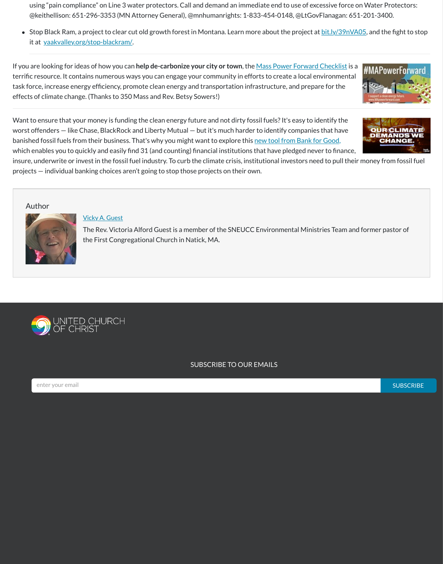using "pain compliance" on Line 3 water protectors. Call and demand an immediate end to use of excessive force on Water Protectors: @keithellison: 651-296-3353 (MN Attorney General), @mnhumanrights: 1-833-454-0148, @LtGovFlanagan: 651-201-3400.

• Stop Black Ram, a project to clear cut old growth forest in Montana. Learn more about the project at **[bit.ly/39nVA05](https://bit.ly/39nVA05)**, and the fight to stop it at [yaakvalley.org/stop-blackram/.](http://yaakvalley.org/stop-blackram/)

If you are looking for ideas of how you can **help de-carbonize your city or town**, the [Mass Power Forward Checklist](https://r20.rs6.net/tn.jsp?f=001o5K2XE-HxBbMs0cmg1HyPvYs3Qc7pgajOXLO65bNG5qNU9DEMHm1caEYPNoHx51axKGHU79Sp44Yf1qksxXh2SvRhBBLLQLz9ge9jxo8GYqDpcud6WExge3ErkMIqMViWBt0OVcbGfMmCNAx9yiv4MXVZeMsTVnXEoXsX3jaHevZUOQGjR3mm6QtISNR55OTuQ2o1OmMcPue2jzqW_WKdO3FQXcBfgbD9HArY0EbS7LHk6hbuMzc_b5Bq5k29AHggxDbDY3IF-WpS-FAvkjPrKvh0ZUdNCyW40sNWTVVY0lxTlCgY9SsgJOJQcbeLy92PTCGaM01uDp2gdzFSopPn3Eg82vq5Uz7VKqblcsDbZOce7MjtVz8XZ1Efn_Rvzb6FZVFZrDH5wAC1PnSN_jxwPlewCbCSzR7mQ853hdpSiyWIrU2l1i2rIn_qAoGYk-CbzJswjDe4OeftSi2SuQg_dGpgvMY_lvnmbrXb_IdF-v76tYYoivpjRtutohoxK9_&c=CKnQzj6aHYSp8QtTiPu86BeAIC5uuExgeAa7_E0_s8dJPTkJogiE9w==&ch=h6JWoJ4L2nqUUjRTB7yfdZsTZGdLmgZD9FZRGOmVCWfAf_ceVBTfDg==) is a terrific resource. It contains numerous ways you can engage your community in efforts to create a local environmental task force, increase energy efficiency, promote clean energy and transportation infrastructure, and prepare for the effects of climate change. (Thanks to 350 Mass and Rev. Betsy Sowers!)



insure, underwrite or invest in the fossil fuel industry. To curb the climate crisis, institutional investors need to pull their money from fossil fuel projects — individual banking choices aren't going to stop those projects on their own.

#### Author



#### Vicky A. [Guest](https://www.sneucc.org/authordetail/747328)

The Rev. Victoria Alford Guest is a member of the SNEUCC Environmental Ministries Team and former pastor of the First Congregational Church in Natick, MA.





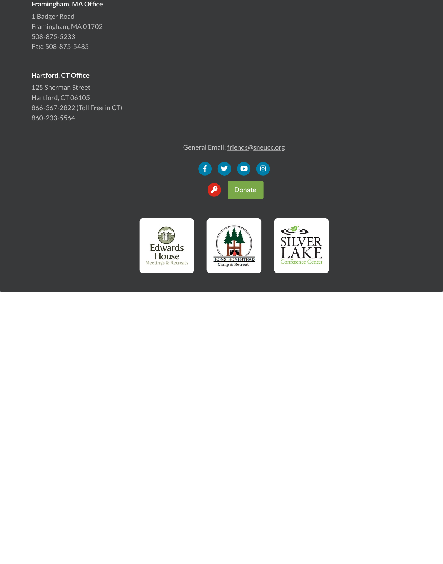#### **Framingham, MA Office**

1 Badger Road Framingham, MA 01702 508-875-5233 Fax: 508-875-5485

### **Hartford, CT Office**

125 Sherman Street Hartford, CT 06105 866-367-2822 (Toll Free in CT) 860-233-5564

# General Email: [friends@sneucc.org](mailto:friends@sneucc.org)

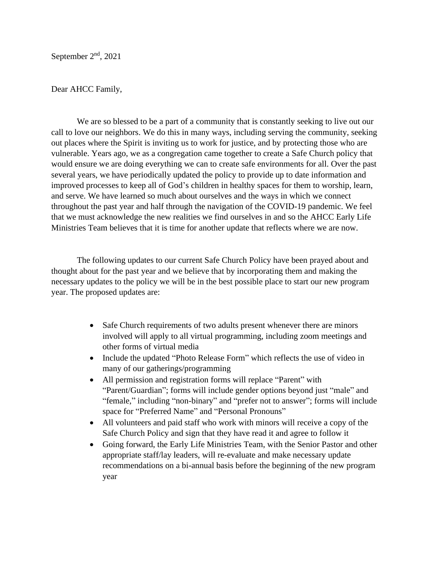Dear AHCC Family,

We are so blessed to be a part of a community that is constantly seeking to live out our call to love our neighbors. We do this in many ways, including serving the community, seeking out places where the Spirit is inviting us to work for justice, and by protecting those who are vulnerable. Years ago, we as a congregation came together to create a Safe Church policy that would ensure we are doing everything we can to create safe environments for all. Over the past several years, we have periodically updated the policy to provide up to date information and improved processes to keep all of God's children in healthy spaces for them to worship, learn, and serve. We have learned so much about ourselves and the ways in which we connect throughout the past year and half through the navigation of the COVID-19 pandemic. We feel that we must acknowledge the new realities we find ourselves in and so the AHCC Early Life Ministries Team believes that it is time for another update that reflects where we are now.

The following updates to our current Safe Church Policy have been prayed about and thought about for the past year and we believe that by incorporating them and making the necessary updates to the policy we will be in the best possible place to start our new program year. The proposed updates are:

- Safe Church requirements of two adults present whenever there are minors involved will apply to all virtual programming, including zoom meetings and other forms of virtual media
- Include the updated "Photo Release Form" which reflects the use of video in many of our gatherings/programming
- All permission and registration forms will replace "Parent" with "Parent/Guardian"; forms will include gender options beyond just "male" and "female," including "non-binary" and "prefer not to answer"; forms will include space for "Preferred Name" and "Personal Pronouns"
- All volunteers and paid staff who work with minors will receive a copy of the Safe Church Policy and sign that they have read it and agree to follow it
- Going forward, the Early Life Ministries Team, with the Senior Pastor and other appropriate staff/lay leaders, will re-evaluate and make necessary update recommendations on a bi-annual basis before the beginning of the new program year